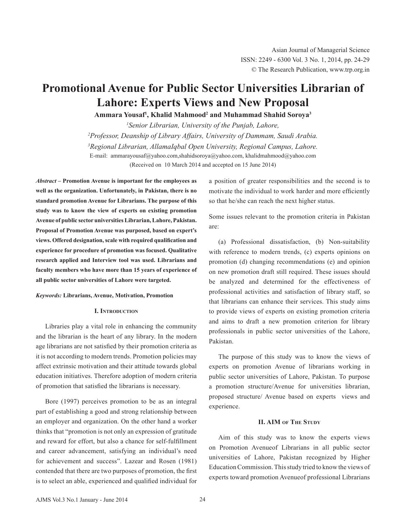# **Promotional Avenue for Public Sector Universities Librarian of Lahore: Experts Views and New Proposal**

**Ammara Yousaf1 , Khalid Mahmood<sup>2</sup> and Muhammad Shahid Soroya<sup>3</sup>**

*1 Senior Librarian, University of the Punjab, Lahore, 2 Professor, Deanship of Library Affairs, University of Dammam, Saudi Arabia.*  <sup>3</sup> Regional Librarian, AllamaIqbal Open University, Regional Campus, Lahore. E-mail: ammarayousaf@yahoo.com,shahidsoroya@yahoo.com, khalidmahmood@yahoo.com (Received on 10 March 2014 and accepted on 15 June 2014)

*Abstract* **– Promotion Avenue is important for the employees as well as the organization. Unfortunately, in Pakistan, there is no standard promotion Avenue for Librarians. The purpose of this study was to know the view of experts on existing promotion Avenue of public sector universitiesLibrarian,Lahore, Pakistan. Proposal of Promotion Avenue was purposed, based on expert's views. Offered designation, scale with required qualification and experience for procedure of promotion was focused. Qualitative research applied and Interview tool was used. Librarians and faculty members who have more than 15 years of experience of all public sector universities of Lahore were targeted.**

# *Keywords:* **Librarians, Avenue, Motivation, Promotion**

# **I. Introduction**

Libraries play a vital role in enhancing the community and the librarian is the heart of any library. In the modern age librarians are not satisfied by their promotion criteria as it is not according to modern trends. Promotion policies may affect extrinsic motivation and their attitude towards global education initiatives. Therefore adoption of modern criteria of promotion that satisfied the librarians is necessary.

Bore (1997) perceives promotion to be as an integral part of establishing a good and strong relationship between an employer and organization. On the other hand a worker thinks that "promotion is not only an expression of gratitude and reward for effort, but also a chance for self-fulfillment and career advancement, satisfying an individual's need for achievement and success". Lazear and Rosen (1981) contended that there are two purposes of promotion, the first is to select an able, experienced and qualified individual for a position of greater responsibilities and the second is to motivate the individual to work harder and more efficiently so that he/she can reach the next higher status.

Some issues relevant to the promotion criteria in Pakistan are:

(a) Professional dissatisfaction, (b) Non-suitability with reference to modern trends, (c) experts opinions on promotion (d) changing recommendations (e) and opinion on new promotion draft still required. These issues should be analyzed and determined for the effectiveness of professional activities and satisfaction of library staff, so that librarians can enhance their services. This study aims to provide views of experts on existing promotion criteria and aims to draft a new promotion criterion for library professionals in public sector universities of the Lahore, Pakistan.

The purpose of this study was to know the views of experts on promotion Avenue of librarians working in public sector universities of Lahore, Pakistan. To purpose a promotion structure/Avenue for universities librarian, proposed structure/ Avenue based on experts views and experience.

# **II. AIM of The Study**

Aim of this study was to know the experts views on Promotion Avenueof Librarians in all public sector universities of Lahore, Pakistan recognized by Higher Education Commission. This study tried to know the views of experts toward promotion Avenueof professional Librarians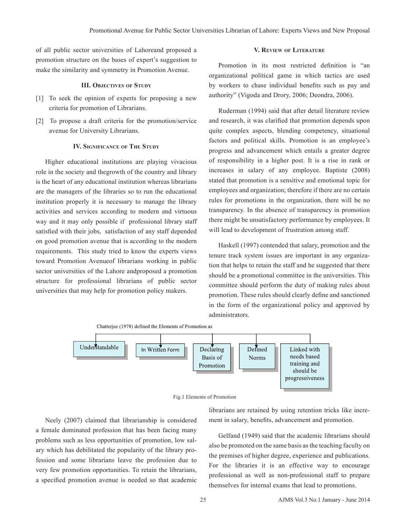of all public sector universities of Lahoreand proposed a promotion structure on the bases of expert's suggestion to make the similarity and symmetry in Promotion Avenue.

#### **III. Objectives of Study**

- [1] To seek the opinion of experts for proposing a new criteria for promotion of Librarians.
- [2] To propose a draft criteria for the promotion/service avenue for University Librarians.

#### **IV. Significance of The Study**

Higher educational institutions are playing vivacious role in the society and thegrowth of the country and library is the heart of any educational institution whereas librarians are the managers of the libraries so to run the educational institution properly it is necessary to manage the library activities and services according to modern and virtuous way and it may only possible if professional library staff satisfied with their jobs, satisfaction of any staff depended on good promotion avenue that is according to the modern requirements. This study tried to know the experts views toward Promotion Avenueof librarians working in public sector universities of the Lahore andproposed a promotion structure for professional librarians of public sector universities that may help for promotion policy makers.

#### **V. Review of Literature**

Promotion in its most restricted definition is "an organizational political game in which tactics are used by workers to chase individual benefits such as pay and authority" (Vigoda and Drory, 2006; Deondra, 2006).

Ruderman (1994) said that after detail literature review and research, it was clarified that promotion depends upon quite complex aspects, blending competency, situational factors and political skills. Promotion is an employee's progress and advancement which entails a greater degree of responsibility in a higher post. It is a rise in rank or increases in salary of any employee. Baptiste (2008) stated that promotion is a sensitive and emotional topic for employees and organization; therefore if there are no certain rules for promotions in the organization, there will be no transparency. In the absence of transparency in promotion there might be unsatisfactory performance by employees. It will lead to development of frustration among staff.

Haskell (1997) contended that salary, promotion and the tenure track system issues are important in any organization that helps to retain the staff and he suggested that there should be a promotional committee in the universities. This committee should perform the duty of making rules about promotion. These rules should clearly define and sanctioned in the form of the organizational policy and approved by administrators.





Neely (2007) claimed that librarianship is considered a female dominated profession that has been facing many problems such as less opportunities of promotion, low salary which has debilitated the popularity of the library profession and some librarians leave the profession due to very few promotion opportunities. To retain the librarians, a specified promotion avenue is needed so that academic

librarians are retained by using retention tricks like increment in salary, benefits, advancement and promotion.

Gelfand (1949) said that the academic librarians should also be promoted on the same basis as the teaching faculty on the premises of higher degree, experience and publications. For the libraries it is an effective way to encourage professional as well as non-professional staff to prepare themselves for internal exams that lead to promotions.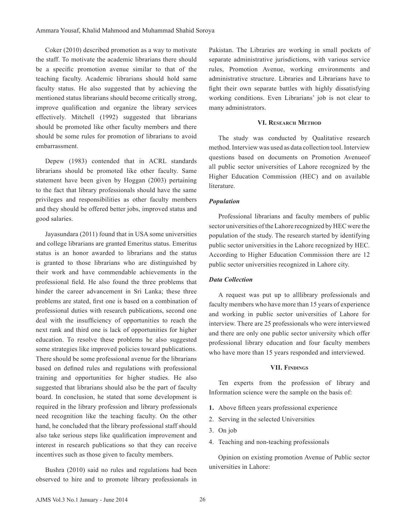Coker (2010) described promotion as a way to motivate the staff. To motivate the academic librarians there should be a specific promotion avenue similar to that of the teaching faculty. Academic librarians should hold same faculty status. He also suggested that by achieving the mentioned status librarians should become critically strong, improve qualification and organize the library services effectively. Mitchell (1992) suggested that librarians should be promoted like other faculty members and there should be some rules for promotion of librarians to avoid embarrassment.

Depew (1983) contended that in ACRL standards librarians should be promoted like other faculty. Same statement have been given by Hoggan (2003) pertaining to the fact that library professionals should have the same privileges and responsibilities as other faculty members and they should be offered better jobs, improved status and good salaries.

Jayasundara (2011) found that in USA some universities and college librarians are granted Emeritus status. Emeritus status is an honor awarded to librarians and the status is granted to those librarians who are distinguished by their work and have commendable achievements in the professional field. He also found the three problems that hinder the career advancement in Sri Lanka; these three problems are stated, first one is based on a combination of professional duties with research publications, second one deal with the insufficiency of opportunities to reach the next rank and third one is lack of opportunities for higher education. To resolve these problems he also suggested some strategies like improved policies toward publications. There should be some professional avenue for the librarians based on defined rules and regulations with professional training and opportunities for higher studies. He also suggested that librarians should also be the part of faculty board. In conclusion, he stated that some development is required in the library profession and library professionals need recognition like the teaching faculty. On the other hand, he concluded that the library professional staff should also take serious steps like qualification improvement and interest in research publications so that they can receive incentives such as those given to faculty members.

Bushra (2010) said no rules and regulations had been observed to hire and to promote library professionals in Pakistan. The Libraries are working in small pockets of separate administrative jurisdictions, with various service rules, Promotion Avenue, working environments and administrative structure. Libraries and Librarians have to fight their own separate battles with highly dissatisfying working conditions. Even Librarians' job is not clear to many administrators.

#### **VI. Research Method**

The study was conducted by Qualitative research method. Interview was used as data collection tool. Interview questions based on documents on Promotion Avenueof all public sector universities of Lahore recognized by the Higher Education Commission (HEC) and on available literature.

# *Population*

Professional librarians and faculty members of public sector universities of the Lahore recognized by HEC were the population of the study. The research started by identifying public sector universities in the Lahore recognized by HEC. According to Higher Education Commission there are 12 public sector universities recognized in Lahore city.

# *Data Collection*

A request was put up to alllibrary professionals and faculty members who have more than 15 years of experience and working in public sector universities of Lahore for interview. There are 25 professionals who were interviewed and there are only one public sector university which offer professional library education and four faculty members who have more than 15 years responded and interviewed.

# **VII. Findings**

Ten experts from the profession of library and Information science were the sample on the basis of:

- **1.** Above fifteen years professional experience
- 2. Serving in the selected Universities
- 3. On job
- 4. Teaching and non-teaching professionals

Opinion on existing promotion Avenue of Public sector universities in Lahore: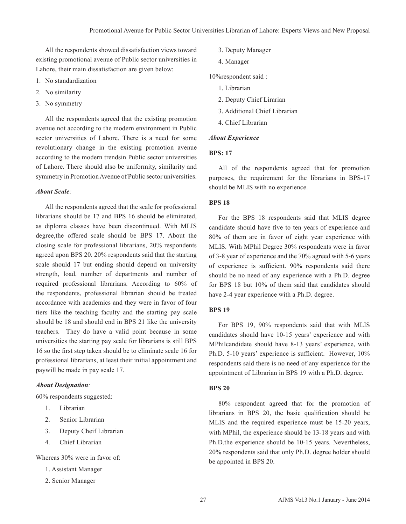All the respondents showed dissatisfaction views toward existing promotional avenue of Public sector universities in Lahore, their main dissatisfaction are given below:

- 1. No standardization
- 2. No similarity
- 3. No symmetry

All the respondents agreed that the existing promotion avenue not according to the modern environment in Public sector universities of Lahore. There is a need for some revolutionary change in the existing promotion avenue according to the modern trendsin Public sector universities of Lahore. There should also be uniformity, similarity and symmetry in Promotion Avenue of Public sector universities.

#### *About Scale:*

All the respondents agreed that the scale for professional librarians should be 17 and BPS 16 should be eliminated, as diploma classes have been discontinued. With MLIS degree,the offered scale should be BPS 17. About the closing scale for professional librarians, 20% respondents agreed upon BPS 20. 20% respondents said that the starting scale should 17 but ending should depend on university strength, load, number of departments and number of required professional librarians. According to 60% of the respondents, professional librarian should be treated accordance with academics and they were in favor of four tiers like the teaching faculty and the starting pay scale should be 18 and should end in BPS 21 like the university teachers. They do have a valid point because in some universities the starting pay scale for librarians is still BPS 16 so the first step taken should be to eliminate scale 16 for professional librarians, at least their initial appointment and paywill be made in pay scale 17.

# *About Designation:*

60% respondents suggested:

- 1. Librarian
- 2. Senior Librarian
- 3. Deputy Cheif Librarian
- 4. Chief Librarian

Whereas 30% were in favor of:

- 1. Assistant Manager
- 2. Senior Manager
- 3. Deputy Manager
- 4. Manager

10%respondent said :

- 1. Librarian
- 2. Deputy Chief Lirarian
- 3. Additional Chief Librarian
- 4. Chief Librarian

#### *About Experience*

# **BPS: 17**

All of the respondents agreed that for promotion purposes, the requirement for the librarians in BPS-17 should be MLIS with no experience.

# **BPS 18**

For the BPS 18 respondents said that MLIS degree candidate should have five to ten years of experience and 80% of them are in favor of eight year experience with MLIS. With MPhil Degree 30% respondents were in favor of 3-8 year of experience and the 70% agreed with 5-6 years of experience is sufficient. 90% respondents said there should be no need of any experience with a Ph.D. degree for BPS 18 but 10% of them said that candidates should have 2-4 year experience with a Ph.D. degree.

# **BPS 19**

For BPS 19, 90% respondents said that with MLIS candidates should have 10-15 years' experience and with MPhilcandidate should have 8-13 years' experience, with Ph.D. 5-10 years' experience is sufficient. However, 10% respondents said there is no need of any experience for the appointment of Librarian in BPS 19 with a Ph.D. degree.

#### **BPS 20**

80% respondent agreed that for the promotion of librarians in BPS 20, the basic qualification should be MLIS and the required experience must be 15-20 years, with MPhil, the experience should be 13-18 years and with Ph.D.the experience should be 10-15 years. Nevertheless, 20% respondents said that only Ph.D. degree holder should be appointed in BPS 20.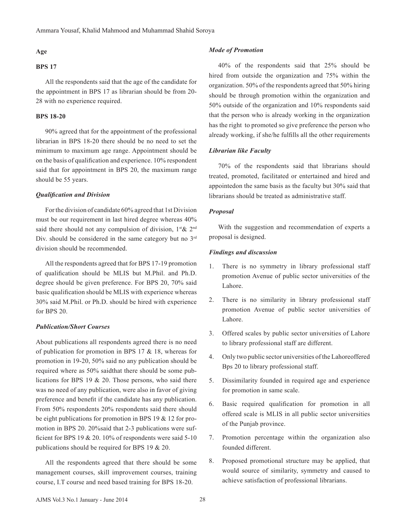# **Age**

# **BPS 17**

All the respondents said that the age of the candidate for the appointment in BPS 17 as librarian should be from 20- 28 with no experience required.

# **BPS 18-20**

90% agreed that for the appointment of the professional librarian in BPS 18-20 there should be no need to set the minimum to maximum age range. Appointment should be on the basis of qualification and experience. 10% respondent said that for appointment in BPS 20, the maximum range should be 55 years.

#### *Qualification and Division*

For the division of candidate 60% agreed that 1st Division must be our requirement in last hired degree whereas 40% said there should not any compulsion of division, 1<sup>st</sup> & 2<sup>nd</sup> Div. should be considered in the same category but no 3<sup>rd</sup> division should be recommended.

All the respondents agreed that for BPS 17-19 promotion of qualification should be MLIS but M.Phil. and Ph.D. degree should be given preference. For BPS 20, 70% said basic qualification should be MLIS with experience whereas 30% said M.Phil. or Ph.D. should be hired with experience for BPS 20.

# *Publication/Short Courses*

About publications all respondents agreed there is no need of publication for promotion in BPS 17 & 18, whereas for promotion in 19-20, 50% said no any publication should be required where as 50% saidthat there should be some publications for BPS 19 & 20. Those persons, who said there was no need of any publication, were also in favor of giving preference and benefit if the candidate has any publication. From 50% respondents 20% respondents said there should be eight publications for promotion in BPS 19 & 12 for promotion in BPS 20. 20%said that 2-3 publications were sufficient for BPS 19  $& 20.10\%$  of respondents were said 5-10 publications should be required for BPS 19 & 20.

All the respondents agreed that there should be some management courses, skill improvement courses, training course, I.T course and need based training for BPS 18-20.

#### *Mode of Promotion*

40% of the respondents said that 25% should be hired from outside the organization and 75% within the organization. 50% of the respondents agreed that 50% hiring should be through promotion within the organization and 50% outside of the organization and 10% respondents said that the person who is already working in the organization has the right to promoted so give preference the person who already working, if she/he fulfills all the other requirements

# *Librarian like Faculty*

70% of the respondents said that librarians should treated, promoted, facilitated or entertained and hired and appointedon the same basis as the faculty but 30% said that librarians should be treated as administrative staff.

#### *Proposal*

With the suggestion and recommendation of experts a proposal is designed.

#### *Findings and discussion*

- 1. There is no symmetry in library professional staff promotion Avenue of public sector universities of the Lahore.
- 2. There is no similarity in library professional staff promotion Avenue of public sector universities of Lahore.
- 3. Offered scales by public sector universities of Lahore to library professional staff are different.
- 4. Only two public sector universities of the Lahoreoffered Bps 20 to library professional staff.
- 5. Dissimilarity founded in required age and experience for promotion in same scale.
- 6. Basic required qualification for promotion in all offered scale is MLIS in all public sector universities of the Punjab province.
- 7. Promotion percentage within the organization also founded different.
- 8. Proposed promotional structure may be applied, that would source of similarity, symmetry and caused to achieve satisfaction of professional librarians.